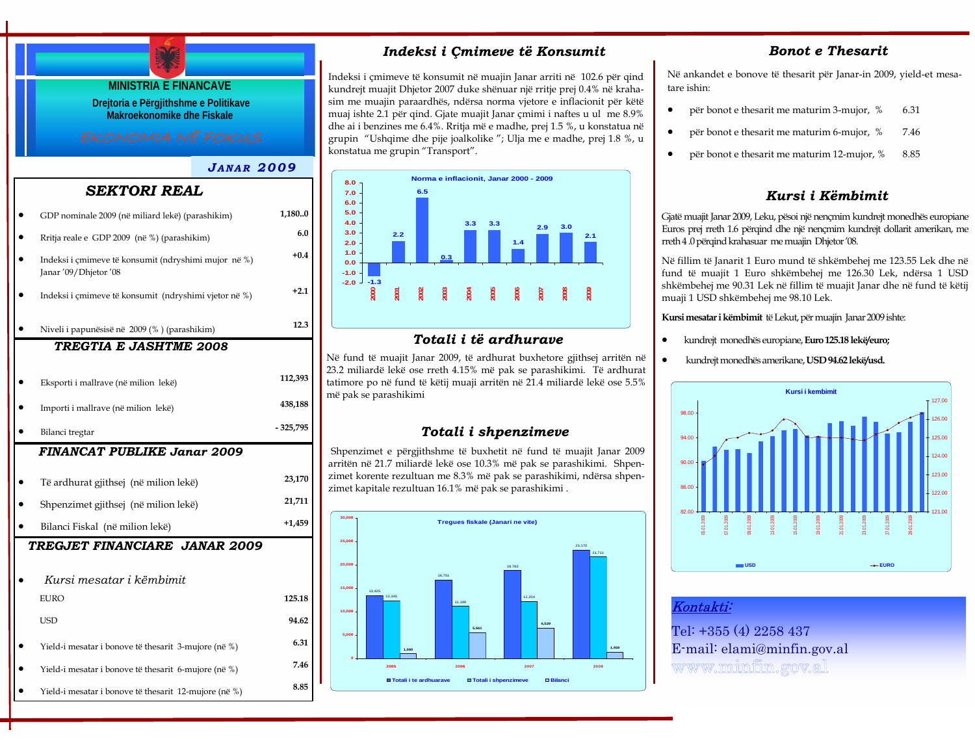# **MINISTRIA E FINANCAVE Drejtoria e Përgjithshme e Politikave Makroekonomike dhe Fiskale** *J ANAR 2009FINANCAT PUBLIKE Janar 2009* • Të ardhurat gjithsej (në milion lekë) **23,170**  *TREGTIA E JASHTME 2008*• Eksporti i mallrave (në milion lekë) **112,393**  • Importi i mallrave (në milion lekë) **438,188**  • Bilanci tregtar **- 325,795**   *SEKTORI REAL*• GDP nominale 2009 (në miliard lekë) (parashikim) **1,180..0**  • Rritja reale e GDP 2009 (në %) (parashikim) **6.0**  • Indeksi i çmimeve të konsumit (ndryshimi mujor në %) Janar '09/Dhjetor '08 • Indeksi i çmimeve të konsumit (ndryshimi vjetor në %) **+2.1**  • Niveli i papunësisë në 2009 (% ) (parashikim) **12.3**

**+0.4** 

- Shpenzimet gjithsej (në milion lekë) **21,711**  • Bilanci Fiskal (në milion lekë) **+1,459**   *TREGJET FINANCIARE JANAR 2009*• *Kursi mesatar i këmbimit*EURO **125.18**
- Yield-i mesatar i bonove të thesarit 3-mujore (në %) **6.31**
- Yield-i mesatar i bonove të thesarit 6-mujore (në %) **7.46**
- Yield-i mesatar i bonove të thesarit 12-mujore (në %) **8.85**

## *Indeksi i Çmimeve të Konsumit*

Indeksi i çmimeve të konsumit në muajin Janar arriti në 102.6 për qind kundrejt muajit Dhjetor 2007 duke shënuar një rritje prej 0.4% në krahasim me muajin paraardhës, ndërsa norma vjetore e inflacionit për këtë muaj ishte 2.1 për qind. Gjate muajit Janar çmimi i naftes u ul me 8.9% dhe ai i benzines me 6.4%. Rritja më e madhe, prej 1.5 %, u konstatua në grupin "Ushqime dhe pije joalkolike "; Ulja me e madhe, prej 1.8 %, u konstatua me grupin "Transport".



## *Totali i të ardhurave*

Në fund të muajit Janar 2009, të ardhurat buxhetore gjithsej arritën në 23.2 miliardë lekë ose rreth 4.15% më pak se parashikimi. Të ardhurat tatimore po në fund të këtij muaji arritën në 21.4 miliardë lekë ose 5.5% më pak se parashikimi

## *Totali i shpenzimeve*

Shpenzimet e përgjithshme të buxhetit në fund të muajit Janar 2009 arritën në 21.7 miliardë lekë ose 10.3% më pak se parashikimi. Shpenzimet korente rezultuan me 8.3% më pak se parashikimi, ndërsa shpenzimet kapitale rezultuan 16.1% më pak se parashikimi .



## *Bonot e Thesarit*

Në ankandet e bonove të thesarit për Janar-in 2009, yield-et mesatare ishin:

- për bonot e thesarit me maturim 3-mujor, % 6.31
- për bonot e thesarit me maturim 6-mujor, % 7.46
- për bonot e thesarit me maturim 12-mujor, % 8.85

## *Kursi i Këmbimit*

Gjatë muajit Janar 2009, Leku, pësoi një nençmim kundrejt monedhës europiane Euros prej rreth 1.6 përqind dhe një nençmim kundrejt dollarit amerikan, me rreth 4 .0 përqind krahasuar me muajin Dhjetor '08.

Në fillim të Janarit 1 Euro mund të shkëmbehej me 123.55 Lek dhe në fund të muajit 1 Euro shkëmbehej me 126.30 Lek, ndërsa 1 USD shkëmbehej me 90.31 Lek në fillim të muajit Janar dhe në fund të këtij muaji 1 USD shkëmbehej me 98.10 Lek.

**Kursi mesatar i këmbimit** të Lekut, për muajin Janar 2009 ishte:

- kundrejt monedhës europiane, **Euro 125.18 lekë/euro;**
- kundrejt monedhës amerikane, **USD 94.62 lekë/usd.**



## Kontakti:

Tel: +355 (4) 2258 437 E-mail: elami@minfin.gov.al www.minfin.gov.al